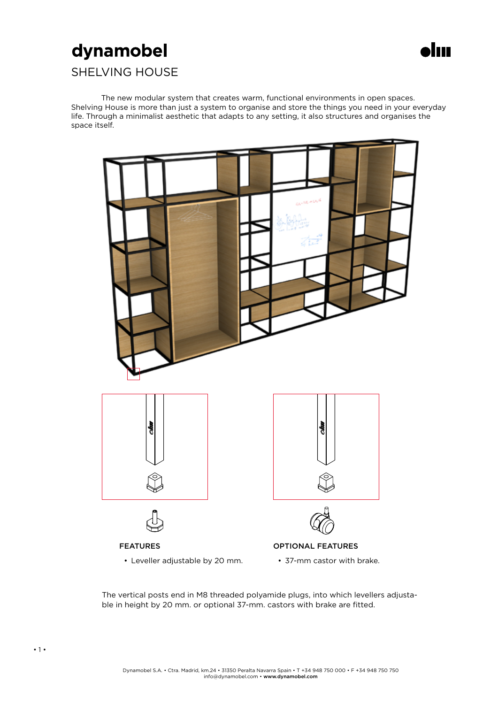# dynamobel



### SHELVING HOUSE

The new modular system that creates warm, functional environments in open spaces. Shelving House is more than just a system to organise and store the things you need in your everyday life. Through a minimalist aesthetic that adapts to any setting, it also structures and organises the space itself.



The vertical posts end in M8 threaded polyamide plugs, into which levellers adjustable in height by 20 mm. or optional 37-mm. castors with brake are fitted.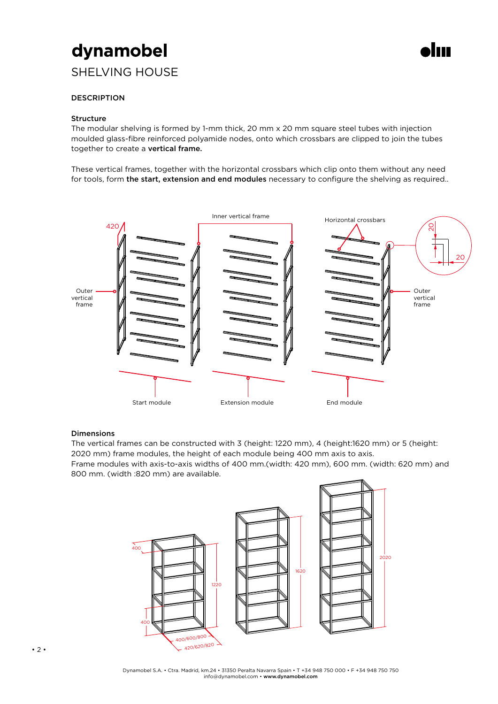# dynamobel

### SHELVING HOUSE



### **DESCRIPTION**

### **Structure**

The modular shelving is formed by 1-mm thick, 20 mm x 20 mm square steel tubes with injection moulded glass-fibre reinforced polyamide nodes, onto which crossbars are clipped to join the tubes together to create a vertical frame.

These vertical frames, together with the horizontal crossbars which clip onto them without any need for tools, form the start, extension and end modules necessary to configure the shelving as required..



### Dimensions

The vertical frames can be constructed with 3 (height: 1220 mm), 4 (height:1620 mm) or 5 (height: 2020 mm) frame modules, the height of each module being 400 mm axis to axis. Frame modules with axis-to-axis widths of 400 mm.(width: 420 mm), 600 mm. (width: 620 mm) and 800 mm. (width :820 mm) are available.

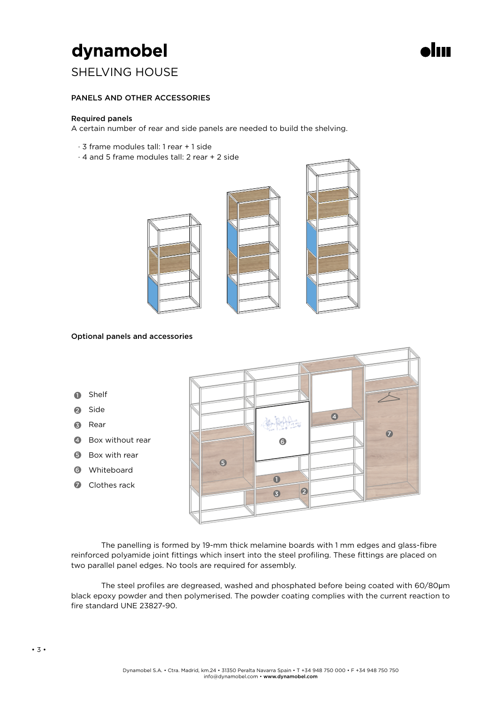# dynamobel

### SHELVING HOUSE

### PANELS AND OTHER ACCESSORIES

#### Required panels

A certain number of rear and side panels are needed to build the shelving.

- · 3 frame modules tall: 1 rear + 1 side
- · 4 and 5 frame modules tall: 2 rear + 2 side



#### Optional panels and accessories



The panelling is formed by 19-mm thick melamine boards with 1 mm edges and glass-fibre reinforced polyamide joint fittings which insert into the steel profiling. These fittings are placed on two parallel panel edges. No tools are required for assembly.

The steel profiles are degreased, washed and phosphated before being coated with 60/80μm black epoxy powder and then polymerised. The powder coating complies with the current reaction to fire standard UNE 23827-90.